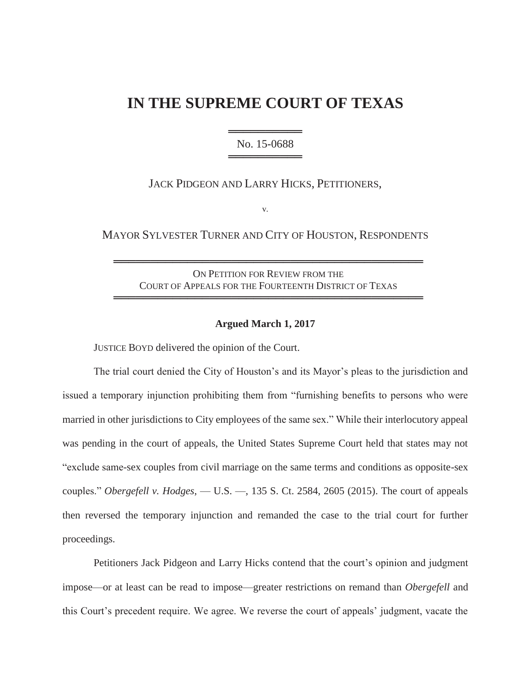# **IN THE SUPREME COURT OF TEXAS**

═════════════════════ No. 15-0688 ══════════════════

JACK PIDGEON AND LARRY HICKS, PETITIONERS,

v.

MAYOR SYLVESTER TURNER AND CITY OF HOUSTON, RESPONDENTS

ON PETITION FOR REVIEW FROM THE COURT OF APPEALS FOR THE FOURTEENTH DISTRICT OF TEXAS ══════════════════════════════════════════

══════════════════════════════════════════

## **Argued March 1, 2017**

JUSTICE BOYD delivered the opinion of the Court.

The trial court denied the City of Houston's and its Mayor's pleas to the jurisdiction and issued a temporary injunction prohibiting them from "furnishing benefits to persons who were married in other jurisdictions to City employees of the same sex." While their interlocutory appeal was pending in the court of appeals, the United States Supreme Court held that states may not "exclude same-sex couples from civil marriage on the same terms and conditions as opposite-sex couples." *Obergefell v. Hodges*, — U.S. —, 135 S. Ct. 2584, 2605 (2015). The court of appeals then reversed the temporary injunction and remanded the case to the trial court for further proceedings.

Petitioners Jack Pidgeon and Larry Hicks contend that the court's opinion and judgment impose—or at least can be read to impose—greater restrictions on remand than *Obergefell* and this Court's precedent require. We agree. We reverse the court of appeals' judgment, vacate the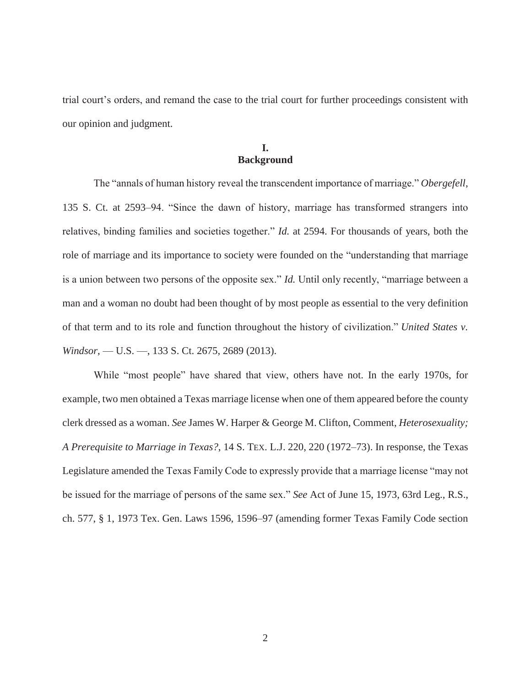trial court's orders, and remand the case to the trial court for further proceedings consistent with our opinion and judgment.

# **I. Background**

The "annals of human history reveal the transcendent importance of marriage." *Obergefell*, 135 S. Ct. at 2593–94. "Since the dawn of history, marriage has transformed strangers into relatives, binding families and societies together." *Id.* at 2594. For thousands of years, both the role of marriage and its importance to society were founded on the "understanding that marriage is a union between two persons of the opposite sex." *Id.* Until only recently, "marriage between a man and a woman no doubt had been thought of by most people as essential to the very definition of that term and to its role and function throughout the history of civilization." *United States v. Windsor,* — U.S. —, 133 S. Ct. 2675, 2689 (2013).

While "most people" have shared that view, others have not. In the early 1970s, for example, two men obtained a Texas marriage license when one of them appeared before the county clerk dressed as a woman. *See* James W. Harper & George M. Clifton, Comment, *Heterosexuality; A Prerequisite to Marriage in Texas?*, 14 S. TEX. L.J. 220, 220 (1972–73). In response, the Texas Legislature amended the Texas Family Code to expressly provide that a marriage license "may not be issued for the marriage of persons of the same sex." *See* Act of June 15, 1973, 63rd Leg., R.S., ch. 577, § 1, 1973 Tex. Gen. Laws 1596, 1596–97 (amending former Texas Family Code section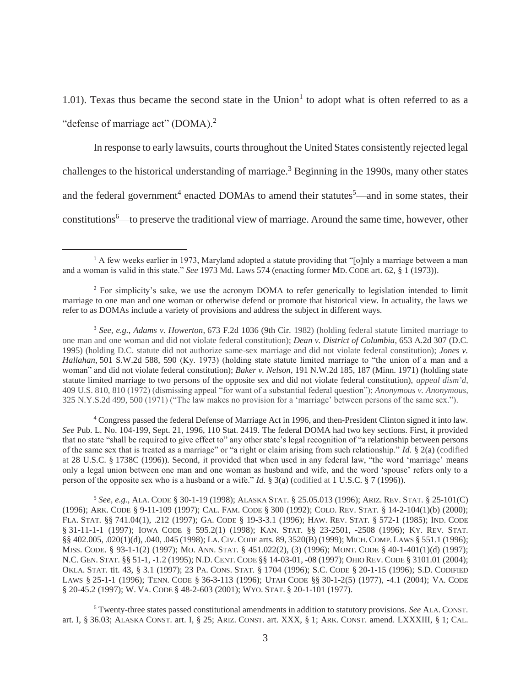1.01). Texas thus became the second state in the Union<sup>1</sup> to adopt what is often referred to as a "defense of marriage act" (DOMA). $2$ 

In response to early lawsuits, courts throughout the United States consistently rejected legal challenges to the historical understanding of marriage.<sup>3</sup> Beginning in the 1990s, many other states and the federal government<sup>4</sup> enacted DOMAs to amend their statutes<sup>5</sup>—and in some states, their constitutions<sup>6</sup>—to preserve the traditional view of marriage. Around the same time, however, other

 $\overline{a}$ 

4 Congress passed the federal Defense of Marriage Act in 1996, and then-President Clinton signed it into law. *See* Pub. L. No. 104-199, Sept. 21, 1996, 110 Stat. 2419. The federal DOMA had two key sections. First, it provided that no state "shall be required to give effect to" any other state's legal recognition of "a relationship between persons of the same sex that is treated as a marriage" or "a right or claim arising from such relationship." *Id.* § 2(a) (codified at 28 U.S.C. § 1738C (1996)). Second, it provided that when used in any federal law, "the word 'marriage' means only a legal union between one man and one woman as husband and wife, and the word 'spouse' refers only to a person of the opposite sex who is a husband or a wife." *Id.* § 3(a) (codified at 1 U.S.C. § 7 (1996)).

<sup>5</sup> *See, e.g.*, ALA. CODE § 30-1-19 (1998); ALASKA STAT. § 25.05.013 (1996); ARIZ. REV. STAT. § 25-101(C) (1996); ARK. CODE § 9-11-109 (1997); CAL. FAM. CODE § 300 (1992); COLO. REV. STAT. § 14-2-104(1)(b) (2000); FLA. STAT. §§ 741.04(1), .212 (1997); GA. CODE § 19-3-3.1 (1996); HAW. REV. STAT. § 572-1 (1985); IND. CODE § 31-11-1-1 (1997); IOWA CODE § 595.2(1) (1998); KAN. STAT. §§ 23-2501, -2508 (1996); KY. REV. STAT. §§ 402.005, .020(1)(d), .040, .045 (1998); LA.CIV.CODE arts. 89, 3520(B) (1999); MICH.COMP. LAWS § 551.1 (1996); MISS. CODE. § 93-1-1(2) (1997); MO. ANN. STAT. § 451.022(2), (3) (1996); MONT. CODE § 40-1-401(1)(d) (1997); N.C. GEN. STAT. §§ 51-1, -1.2 (1995); N.D. CENT. CODE §§ 14-03-01, -08 (1997); OHIO REV. CODE § 3101.01 (2004); OKLA. STAT. tit. 43, § 3.1 (1997); 23 PA. CONS. STAT. § 1704 (1996); S.C. CODE § 20-1-15 (1996); S.D. CODIFIED LAWS § 25-1-1 (1996); TENN. CODE § 36-3-113 (1996); UTAH CODE §§ 30-1-2(5) (1977), -4.1 (2004); VA. CODE § 20-45.2 (1997); W. VA. CODE § 48-2-603 (2001); WYO. STAT. § 20-1-101 (1977).

6 Twenty-three states passed constitutional amendments in addition to statutory provisions. *See* ALA. CONST. art. I, § 36.03; ALASKA CONST. art. I, § 25; ARIZ. CONST. art. XXX, § 1; ARK. CONST. amend. LXXXIII, § 1; CAL.

 $1$  A few weeks earlier in 1973, Maryland adopted a statute providing that "[o]nly a marriage between a man and a woman is valid in this state." *See* 1973 Md. Laws 574 (enacting former MD. CODE art. 62, § 1 (1973)).

<sup>2</sup> For simplicity's sake, we use the acronym DOMA to refer generically to legislation intended to limit marriage to one man and one woman or otherwise defend or promote that historical view. In actuality, the laws we refer to as DOMAs include a variety of provisions and address the subject in different ways.

<sup>3</sup> *See, e.g.*, *Adams v. Howerton*, 673 F.2d 1036 (9th Cir. 1982) (holding federal statute limited marriage to one man and one woman and did not violate federal constitution); *Dean v. District of Columbia*, 653 A.2d 307 (D.C. 1995) (holding D.C. statute did not authorize same-sex marriage and did not violate federal constitution); *Jones v. Hallahan*, 501 S.W.2d 588, 590 (Ky. 1973) (holding state statute limited marriage to "the union of a man and a woman" and did not violate federal constitution); *Baker v. Nelson*, 191 N.W.2d 185, 187 (Minn. 1971) (holding state statute limited marriage to two persons of the opposite sex and did not violate federal constitution), *appeal dism'd*, 409 U.S. 810, 810 (1972) (dismissing appeal "for want of a substantial federal question"); *Anonymous v. Anonymous*, 325 N.Y.S.2d 499, 500 (1971) ("The law makes no provision for a 'marriage' between persons of the same sex.").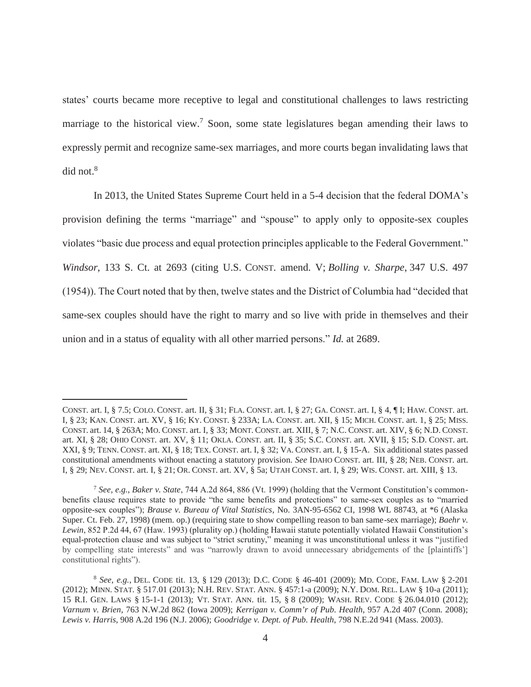states' courts became more receptive to legal and constitutional challenges to laws restricting marriage to the historical view.<sup>7</sup> Soon, some state legislatures began amending their laws to expressly permit and recognize same-sex marriages, and more courts began invalidating laws that  $did$  not. $8$ 

In 2013, the United States Supreme Court held in a 5-4 decision that the federal DOMA's provision defining the terms "marriage" and "spouse" to apply only to opposite-sex couples violates "basic due process and equal protection principles applicable to the Federal Government." *Windsor*, 133 S. Ct. at 2693 (citing U.S. CONST. amend. V; *Bolling v. Sharpe*, 347 U.S. 497 (1954)). The Court noted that by then, twelve states and the District of Columbia had "decided that same-sex couples should have the right to marry and so live with pride in themselves and their union and in a status of equality with all other married persons." *Id.* at 2689.

CONST. art. I, § 7.5; COLO. CONST. art. II, § 31; FLA. CONST. art. I, § 27; GA. CONST. art. I, § 4, ¶ I; HAW. CONST. art. I, § 23; KAN. CONST. art. XV, § 16; KY. CONST. § 233A; LA. CONST. art. XII, § 15; MICH. CONST. art. 1, § 25; MISS. CONST. art. 14, § 263A; MO. CONST. art. I, § 33; MONT. CONST. art. XIII, § 7; N.C. CONST. art. XIV, § 6; N.D. CONST. art. XI, § 28; OHIO CONST. art. XV, § 11; OKLA. CONST. art. II, § 35; S.C. CONST. art. XVII, § 15; S.D. CONST. art. XXI, § 9; TENN. CONST. art. XI, § 18; TEX. CONST. art. I, § 32; VA. CONST. art. I, § 15-A. Six additional states passed constitutional amendments without enacting a statutory provision. *See* IDAHO CONST. art. III, § 28; NEB. CONST. art. I, § 29; NEV. CONST. art. I, § 21; OR. CONST. art. XV, § 5a; UTAH CONST. art. I, § 29; WIS. CONST. art. XIII, § 13.

<sup>7</sup> *See, e.g.*, *Baker v. State*, 744 A.2d 864, 886 (Vt. 1999) (holding that the Vermont Constitution's commonbenefits clause requires state to provide "the same benefits and protections" to same-sex couples as to "married opposite-sex couples"); *Brause v. Bureau of Vital Statistics*, No. 3AN-95-6562 CI, 1998 WL 88743, at \*6 (Alaska Super. Ct. Feb. 27, 1998) (mem. op.) (requiring state to show compelling reason to ban same-sex marriage); *Baehr v. Lewin*, 852 P.2d 44, 67 (Haw. 1993) (plurality op.) (holding Hawaii statute potentially violated Hawaii Constitution's equal-protection clause and was subject to "strict scrutiny," meaning it was unconstitutional unless it was "justified by compelling state interests" and was "narrowly drawn to avoid unnecessary abridgements of the [plaintiffs'] constitutional rights").

<sup>8</sup> *See, e.g.*, DEL. CODE tit. 13, § 129 (2013); D.C. CODE § 46-401 (2009); MD. CODE, FAM. LAW § 2-201 (2012); MINN. STAT. § 517.01 (2013); N.H. REV. STAT. ANN. § 457:1-a (2009); N.Y. DOM. REL. LAW § 10-a (2011); 15 R.I. GEN. LAWS § 15-1-1 (2013); VT. STAT. ANN. tit. 15, § 8 (2009); WASH. REV. CODE § 26.04.010 (2012); *Varnum v. Brien*, 763 N.W.2d 862 (Iowa 2009); *Kerrigan v. Comm'r of Pub. Health*, 957 A.2d 407 (Conn. 2008); *Lewis v. Harris*, 908 A.2d 196 (N.J. 2006); *Goodridge v. Dept. of Pub. Health*, 798 N.E.2d 941 (Mass. 2003).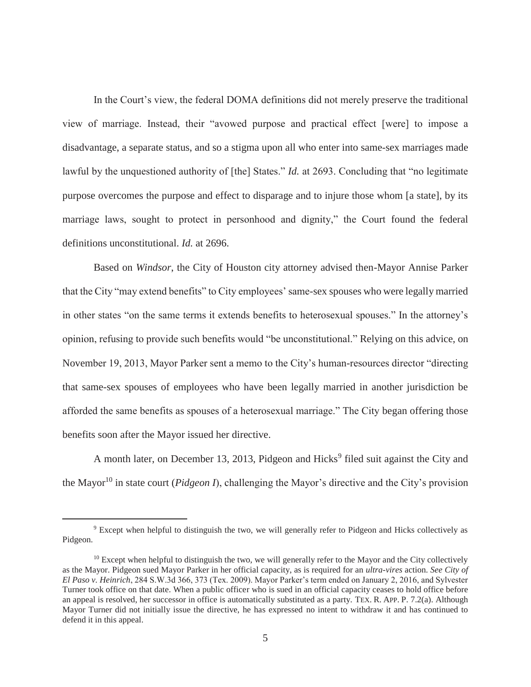In the Court's view, the federal DOMA definitions did not merely preserve the traditional view of marriage. Instead, their "avowed purpose and practical effect [were] to impose a disadvantage, a separate status, and so a stigma upon all who enter into same-sex marriages made lawful by the unquestioned authority of [the] States." *Id.* at 2693. Concluding that "no legitimate purpose overcomes the purpose and effect to disparage and to injure those whom [a state], by its marriage laws, sought to protect in personhood and dignity," the Court found the federal definitions unconstitutional. *Id.* at 2696.

Based on *Windsor*, the City of Houston city attorney advised then-Mayor Annise Parker that the City "may extend benefits" to City employees' same-sex spouses who were legally married in other states "on the same terms it extends benefits to heterosexual spouses." In the attorney's opinion, refusing to provide such benefits would "be unconstitutional." Relying on this advice, on November 19, 2013, Mayor Parker sent a memo to the City's human-resources director "directing that same-sex spouses of employees who have been legally married in another jurisdiction be afforded the same benefits as spouses of a heterosexual marriage." The City began offering those benefits soon after the Mayor issued her directive.

A month later, on December 13, 2013, Pidgeon and Hicks<sup>9</sup> filed suit against the City and the Mayor<sup>10</sup> in state court (*Pidgeon I*), challenging the Mayor's directive and the City's provision

<sup>&</sup>lt;sup>9</sup> Except when helpful to distinguish the two, we will generally refer to Pidgeon and Hicks collectively as Pidgeon.

 $10$  Except when helpful to distinguish the two, we will generally refer to the Mayor and the City collectively as the Mayor. Pidgeon sued Mayor Parker in her official capacity, as is required for an *ultra-vires* action. *See City of El Paso v. Heinrich*, 284 S.W.3d 366, 373 (Tex. 2009). Mayor Parker's term ended on January 2, 2016, and Sylvester Turner took office on that date. When a public officer who is sued in an official capacity ceases to hold office before an appeal is resolved, her successor in office is automatically substituted as a party. TEX. R. APP. P. 7.2(a). Although Mayor Turner did not initially issue the directive, he has expressed no intent to withdraw it and has continued to defend it in this appeal.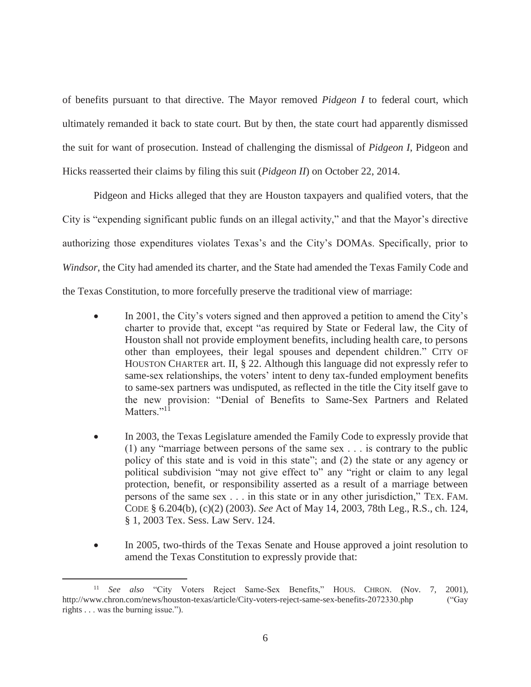of benefits pursuant to that directive. The Mayor removed *Pidgeon I* to federal court, which ultimately remanded it back to state court. But by then, the state court had apparently dismissed the suit for want of prosecution. Instead of challenging the dismissal of *Pidgeon I*, Pidgeon and Hicks reasserted their claims by filing this suit (*Pidgeon II*) on October 22, 2014.

Pidgeon and Hicks alleged that they are Houston taxpayers and qualified voters, that the City is "expending significant public funds on an illegal activity," and that the Mayor's directive authorizing those expenditures violates Texas's and the City's DOMAs. Specifically, prior to *Windsor*, the City had amended its charter, and the State had amended the Texas Family Code and the Texas Constitution, to more forcefully preserve the traditional view of marriage:

- In 2001, the City's voters signed and then approved a petition to amend the City's charter to provide that, except "as required by State or Federal law, the City of Houston shall not provide employment benefits, including health care, to persons other than employees, their legal spouses and dependent children." CITY OF HOUSTON CHARTER art. II, § 22. Although this language did not expressly refer to same-sex relationships, the voters' intent to deny tax-funded employment benefits to same-sex partners was undisputed, as reflected in the title the City itself gave to the new provision: "Denial of Benefits to Same-Sex Partners and Related Matters."<sup>11</sup>
- In 2003, the Texas Legislature amended the Family Code to expressly provide that (1) any "marriage between persons of the same sex . . . is contrary to the public policy of this state and is void in this state"; and (2) the state or any agency or political subdivision "may not give effect to" any "right or claim to any legal protection, benefit, or responsibility asserted as a result of a marriage between persons of the same sex . . . in this state or in any other jurisdiction," TEX. FAM. CODE § 6.204(b), (c)(2) (2003). *See* Act of May 14, 2003, 78th Leg., R.S., ch. 124, § 1, 2003 Tex. Sess. Law Serv. 124.
- In 2005, two-thirds of the Texas Senate and House approved a joint resolution to amend the Texas Constitution to expressly provide that:

<sup>11</sup> *See also* "City Voters Reject Same-Sex Benefits," HOUS. CHRON. (Nov. 7, 2001), http://www.chron.com/news/houston-texas/article/City-voters-reject-same-sex-benefits-2072330.php ("Gay rights . . . was the burning issue.").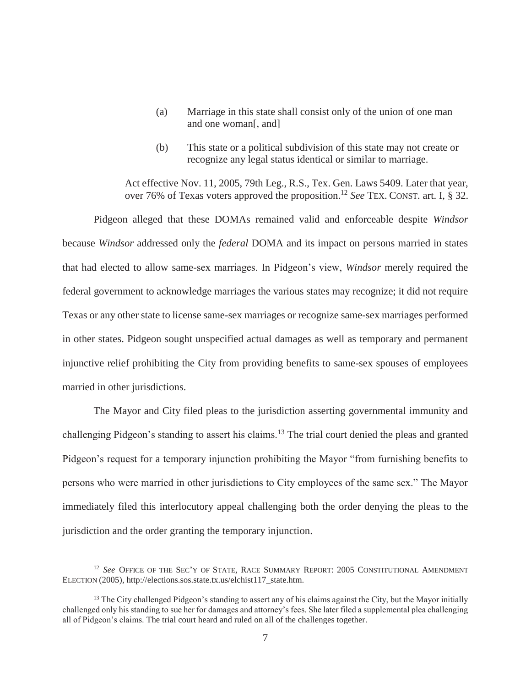- (a) Marriage in this state shall consist only of the union of one man and one woman[, and]
- (b) This state or a political subdivision of this state may not create or recognize any legal status identical or similar to marriage.

Act effective Nov. 11, 2005, 79th Leg., R.S., Tex. Gen. Laws 5409. Later that year, over 76% of Texas voters approved the proposition.12 *See* TEX. CONST. art. I, § 32.

Pidgeon alleged that these DOMAs remained valid and enforceable despite *Windsor* because *Windsor* addressed only the *federal* DOMA and its impact on persons married in states that had elected to allow same-sex marriages. In Pidgeon's view, *Windsor* merely required the federal government to acknowledge marriages the various states may recognize; it did not require Texas or any other state to license same-sex marriages or recognize same-sex marriages performed in other states. Pidgeon sought unspecified actual damages as well as temporary and permanent injunctive relief prohibiting the City from providing benefits to same-sex spouses of employees married in other jurisdictions.

The Mayor and City filed pleas to the jurisdiction asserting governmental immunity and challenging Pidgeon's standing to assert his claims.<sup>13</sup> The trial court denied the pleas and granted Pidgeon's request for a temporary injunction prohibiting the Mayor "from furnishing benefits to persons who were married in other jurisdictions to City employees of the same sex." The Mayor immediately filed this interlocutory appeal challenging both the order denying the pleas to the jurisdiction and the order granting the temporary injunction.

<sup>&</sup>lt;sup>12</sup> See OFFICE OF THE SEC'Y OF STATE, RACE SUMMARY REPORT: 2005 CONSTITUTIONAL AMENDMENT ELECTION (2005), http://elections.sos.state.tx.us/elchist117\_state.htm.

<sup>&</sup>lt;sup>13</sup> The City challenged Pidgeon's standing to assert any of his claims against the City, but the Mayor initially challenged only his standing to sue her for damages and attorney's fees. She later filed a supplemental plea challenging all of Pidgeon's claims. The trial court heard and ruled on all of the challenges together.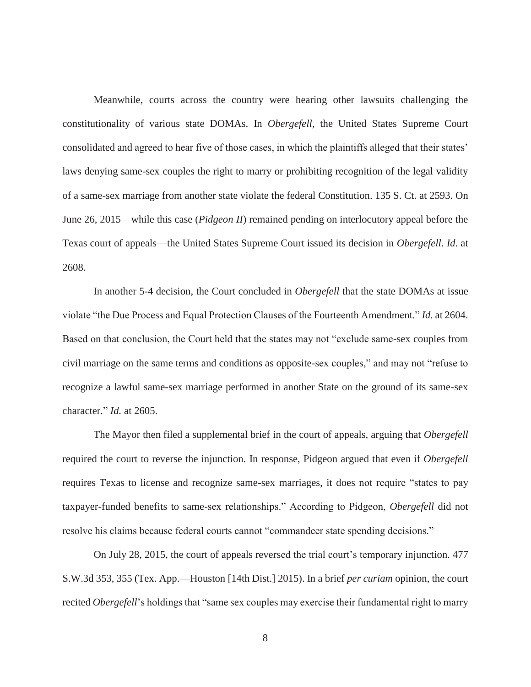Meanwhile, courts across the country were hearing other lawsuits challenging the constitutionality of various state DOMAs. In *Obergefell*, the United States Supreme Court consolidated and agreed to hear five of those cases, in which the plaintiffs alleged that their states' laws denying same-sex couples the right to marry or prohibiting recognition of the legal validity of a same-sex marriage from another state violate the federal Constitution. 135 S. Ct. at 2593. On June 26, 2015—while this case (*Pidgeon II*) remained pending on interlocutory appeal before the Texas court of appeals—the United States Supreme Court issued its decision in *Obergefell*. *Id*. at 2608.

In another 5-4 decision, the Court concluded in *Obergefell* that the state DOMAs at issue violate "the Due Process and Equal Protection Clauses of the Fourteenth Amendment." *Id.* at 2604. Based on that conclusion, the Court held that the states may not "exclude same-sex couples from civil marriage on the same terms and conditions as opposite-sex couples," and may not "refuse to recognize a lawful same-sex marriage performed in another State on the ground of its same-sex character." *Id.* at 2605.

The Mayor then filed a supplemental brief in the court of appeals, arguing that *Obergefell* required the court to reverse the injunction. In response, Pidgeon argued that even if *Obergefell* requires Texas to license and recognize same-sex marriages, it does not require "states to pay taxpayer-funded benefits to same-sex relationships." According to Pidgeon, *Obergefell* did not resolve his claims because federal courts cannot "commandeer state spending decisions."

On July 28, 2015, the court of appeals reversed the trial court's temporary injunction. 477 S.W.3d 353, 355 (Tex. App.—Houston [14th Dist.] 2015). In a brief *per curiam* opinion, the court recited *Obergefell*'s holdings that "same sex couples may exercise their fundamental right to marry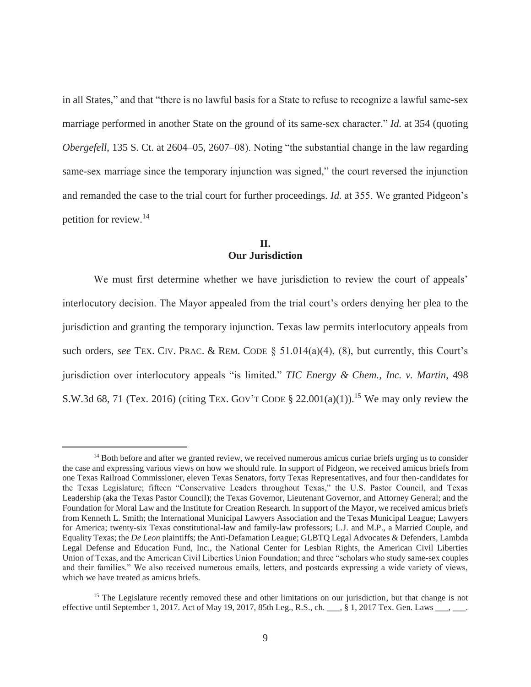in all States," and that "there is no lawful basis for a State to refuse to recognize a lawful same-sex marriage performed in another State on the ground of its same-sex character." *Id.* at 354 (quoting *Obergefell*, 135 S. Ct. at 2604–05, 2607–08). Noting "the substantial change in the law regarding same-sex marriage since the temporary injunction was signed," the court reversed the injunction and remanded the case to the trial court for further proceedings. *Id.* at 355. We granted Pidgeon's petition for review.<sup>14</sup>

# **II. Our Jurisdiction**

We must first determine whether we have jurisdiction to review the court of appeals' interlocutory decision. The Mayor appealed from the trial court's orders denying her plea to the jurisdiction and granting the temporary injunction. Texas law permits interlocutory appeals from such orders, *see* TEX. CIV. PRAC. & REM. CODE § 51.014(a)(4), (8), but currently, this Court's jurisdiction over interlocutory appeals "is limited." *TIC Energy & Chem., Inc. v. Martin*, 498 S.W.3d 68, 71 (Tex. 2016) (citing TEX. GOV'T CODE § 22.001(a)(1)).<sup>15</sup> We may only review the

<sup>&</sup>lt;sup>14</sup> Both before and after we granted review, we received numerous amicus curiae briefs urging us to consider the case and expressing various views on how we should rule. In support of Pidgeon, we received amicus briefs from one Texas Railroad Commissioner, eleven Texas Senators, forty Texas Representatives, and four then-candidates for the Texas Legislature; fifteen "Conservative Leaders throughout Texas," the U.S. Pastor Council, and Texas Leadership (aka the Texas Pastor Council); the Texas Governor, Lieutenant Governor, and Attorney General; and the Foundation for Moral Law and the Institute for Creation Research. In support of the Mayor, we received amicus briefs from Kenneth L. Smith; the International Municipal Lawyers Association and the Texas Municipal League; Lawyers for America; twenty-six Texas constitutional-law and family-law professors; L.J. and M.P., a Married Couple, and Equality Texas; the *De Leon* plaintiffs; the Anti-Defamation League; GLBTQ Legal Advocates & Defenders, Lambda Legal Defense and Education Fund, Inc., the National Center for Lesbian Rights, the American Civil Liberties Union of Texas, and the American Civil Liberties Union Foundation; and three "scholars who study same-sex couples and their families." We also received numerous emails, letters, and postcards expressing a wide variety of views, which we have treated as amicus briefs.

<sup>&</sup>lt;sup>15</sup> The Legislature recently removed these and other limitations on our jurisdiction, but that change is not effective until September 1, 2017. Act of May 19, 2017, 85th Leg., R.S., ch.  $\ddot{\rm s}$  1, 2017 Tex. Gen. Laws  $\ddot{\rm s}$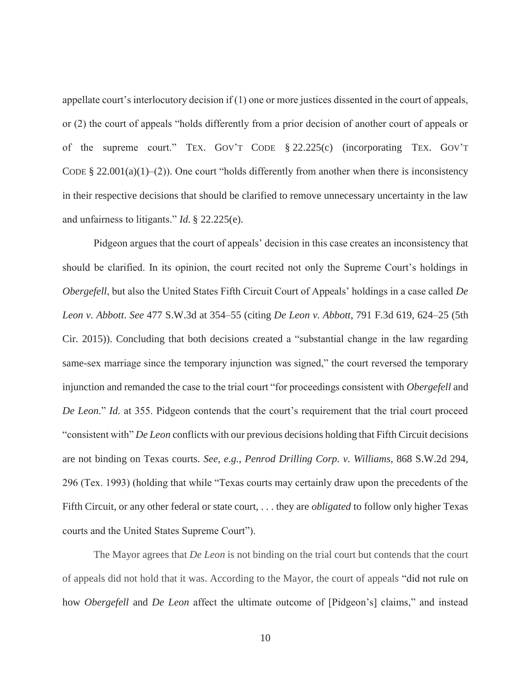appellate court's interlocutory decision if (1) one or more justices dissented in the court of appeals, or (2) the court of appeals "holds differently from a prior decision of another court of appeals or of the supreme court." TEX. GOV'T CODE § 22.225(c) (incorporating TEX. GOV'T CODE § 22.001(a)(1)–(2)). One court "holds differently from another when there is inconsistency in their respective decisions that should be clarified to remove unnecessary uncertainty in the law and unfairness to litigants." *Id.* § 22.225(e).

Pidgeon argues that the court of appeals' decision in this case creates an inconsistency that should be clarified. In its opinion, the court recited not only the Supreme Court's holdings in *Obergefell*, but also the United States Fifth Circuit Court of Appeals' holdings in a case called *De Leon v. Abbott*. *See* 477 S.W.3d at 354–55 (citing *De Leon v. Abbott*, 791 F.3d 619, 624–25 (5th Cir. 2015)). Concluding that both decisions created a "substantial change in the law regarding same-sex marriage since the temporary injunction was signed," the court reversed the temporary injunction and remanded the case to the trial court "for proceedings consistent with *Obergefell* and *De Leon*." *Id.* at 355. Pidgeon contends that the court's requirement that the trial court proceed "consistent with" *De Leon* conflicts with our previous decisions holding that Fifth Circuit decisions are not binding on Texas courts. *See, e.g.*, *Penrod Drilling Corp. v. Williams*, 868 S.W.2d 294, 296 (Tex. 1993) (holding that while "Texas courts may certainly draw upon the precedents of the Fifth Circuit, or any other federal or state court, . . . they are *obligated* to follow only higher Texas courts and the United States Supreme Court").

The Mayor agrees that *De Leon* is not binding on the trial court but contends that the court of appeals did not hold that it was. According to the Mayor, the court of appeals "did not rule on how *Obergefell* and *De Leon* affect the ultimate outcome of [Pidgeon's] claims," and instead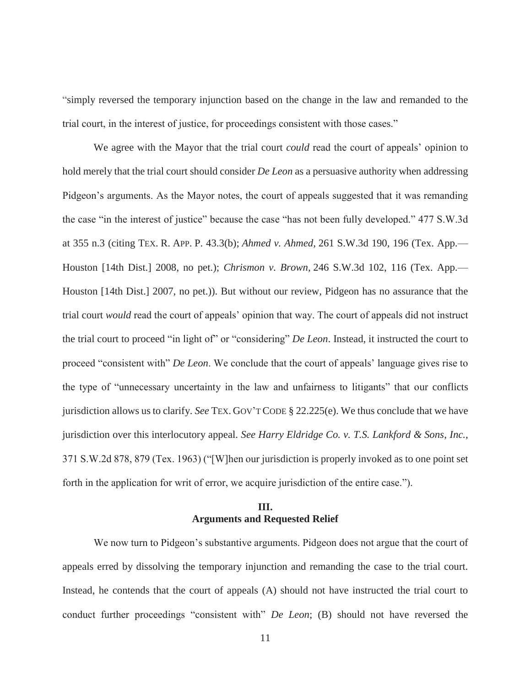"simply reversed the temporary injunction based on the change in the law and remanded to the trial court, in the interest of justice, for proceedings consistent with those cases."

We agree with the Mayor that the trial court *could* read the court of appeals' opinion to hold merely that the trial court should consider *De Leon* as a persuasive authority when addressing Pidgeon's arguments. As the Mayor notes, the court of appeals suggested that it was remanding the case "in the interest of justice" because the case "has not been fully developed." 477 S.W.3d at 355 n.3 (citing TEX. R. APP. P. 43.3(b); *Ahmed v. Ahmed*, 261 S.W.3d 190, 196 (Tex. App.— Houston [14th Dist.] 2008, no pet.); *Chrismon v. Brown*, 246 S.W.3d 102, 116 (Tex. App.— Houston [14th Dist.] 2007, no pet.)). But without our review, Pidgeon has no assurance that the trial court *would* read the court of appeals' opinion that way. The court of appeals did not instruct the trial court to proceed "in light of" or "considering" *De Leon*. Instead, it instructed the court to proceed "consistent with" *De Leon*. We conclude that the court of appeals' language gives rise to the type of "unnecessary uncertainty in the law and unfairness to litigants" that our conflicts jurisdiction allows us to clarify. *See* TEX. GOV'T CODE § 22.225(e). We thus conclude that we have jurisdiction over this interlocutory appeal. *See Harry Eldridge Co. v. T.S. Lankford & Sons*, *Inc.*, 371 S.W.2d 878, 879 (Tex. 1963) ("[W]hen our jurisdiction is properly invoked as to one point set forth in the application for writ of error, we acquire jurisdiction of the entire case.").

# **III. Arguments and Requested Relief**

We now turn to Pidgeon's substantive arguments. Pidgeon does not argue that the court of appeals erred by dissolving the temporary injunction and remanding the case to the trial court. Instead, he contends that the court of appeals (A) should not have instructed the trial court to conduct further proceedings "consistent with" *De Leon*; (B) should not have reversed the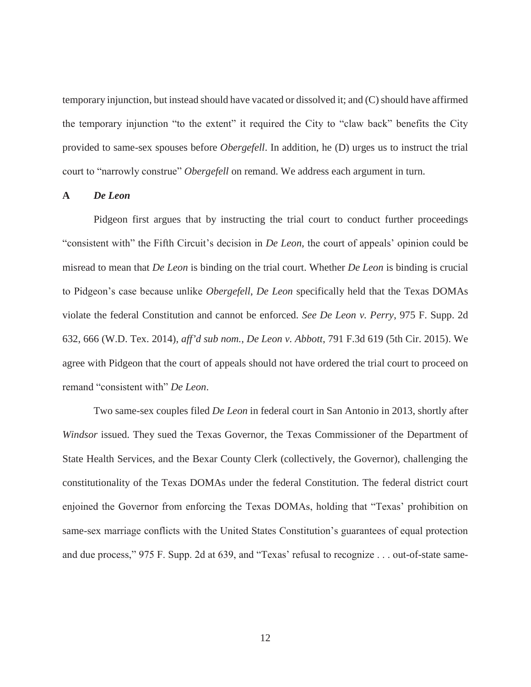temporary injunction, but instead should have vacated or dissolved it; and (C) should have affirmed the temporary injunction "to the extent" it required the City to "claw back" benefits the City provided to same-sex spouses before *Obergefell*. In addition, he (D) urges us to instruct the trial court to "narrowly construe" *Obergefell* on remand. We address each argument in turn.

## **A** *De Leon*

Pidgeon first argues that by instructing the trial court to conduct further proceedings "consistent with" the Fifth Circuit's decision in *De Leon*, the court of appeals' opinion could be misread to mean that *De Leon* is binding on the trial court. Whether *De Leon* is binding is crucial to Pidgeon's case because unlike *Obergefell*, *De Leon* specifically held that the Texas DOMAs violate the federal Constitution and cannot be enforced. *See De Leon v. Perry*, 975 F. Supp. 2d 632, 666 (W.D. Tex. 2014), *aff'd sub nom.*, *De Leon v. Abbott*, 791 F.3d 619 (5th Cir. 2015). We agree with Pidgeon that the court of appeals should not have ordered the trial court to proceed on remand "consistent with" *De Leon*.

Two same-sex couples filed *De Leon* in federal court in San Antonio in 2013, shortly after *Windsor* issued. They sued the Texas Governor, the Texas Commissioner of the Department of State Health Services, and the Bexar County Clerk (collectively, the Governor), challenging the constitutionality of the Texas DOMAs under the federal Constitution. The federal district court enjoined the Governor from enforcing the Texas DOMAs, holding that "Texas' prohibition on same-sex marriage conflicts with the United States Constitution's guarantees of equal protection and due process," 975 F. Supp. 2d at 639, and "Texas' refusal to recognize . . . out-of-state same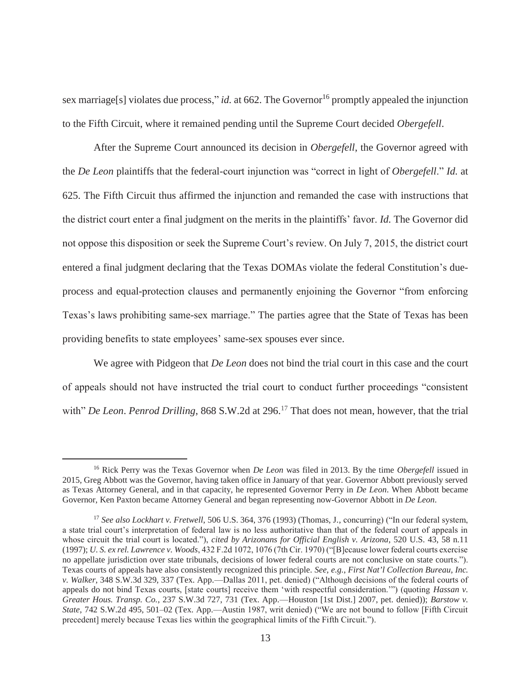sex marriage<sup>[s]</sup> violates due process," *id.* at 662. The Governor<sup>16</sup> promptly appealed the injunction to the Fifth Circuit, where it remained pending until the Supreme Court decided *Obergefell*.

After the Supreme Court announced its decision in *Obergefell*, the Governor agreed with the *De Leon* plaintiffs that the federal-court injunction was "correct in light of *Obergefell*." *Id.* at 625. The Fifth Circuit thus affirmed the injunction and remanded the case with instructions that the district court enter a final judgment on the merits in the plaintiffs' favor. *Id.* The Governor did not oppose this disposition or seek the Supreme Court's review. On July 7, 2015, the district court entered a final judgment declaring that the Texas DOMAs violate the federal Constitution's dueprocess and equal-protection clauses and permanently enjoining the Governor "from enforcing Texas's laws prohibiting same-sex marriage." The parties agree that the State of Texas has been providing benefits to state employees' same-sex spouses ever since.

We agree with Pidgeon that *De Leon* does not bind the trial court in this case and the court of appeals should not have instructed the trial court to conduct further proceedings "consistent with" *De Leon. Penrod Drilling*, 868 S.W.2d at 296.<sup>17</sup> That does not mean, however, that the trial

<sup>16</sup> Rick Perry was the Texas Governor when *De Leon* was filed in 2013. By the time *Obergefell* issued in 2015, Greg Abbott was the Governor, having taken office in January of that year. Governor Abbott previously served as Texas Attorney General, and in that capacity, he represented Governor Perry in *De Leon*. When Abbott became Governor, Ken Paxton became Attorney General and began representing now-Governor Abbott in *De Leon*.

<sup>17</sup> *See also Lockhart v. Fretwell*, 506 U.S. 364, 376 (1993) (Thomas, J., concurring) ("In our federal system, a state trial court's interpretation of federal law is no less authoritative than that of the federal court of appeals in whose circuit the trial court is located."), *cited by Arizonans for Official English v. Arizona*, 520 U.S. 43, 58 n.11 (1997); *U. S. ex rel. Lawrence v. Woods*, 432 F.2d 1072, 1076 (7th Cir. 1970) ("[B]ecause lower federal courts exercise no appellate jurisdiction over state tribunals, decisions of lower federal courts are not conclusive on state courts."). Texas courts of appeals have also consistently recognized this principle. *See, e.g.*, *First Nat'l Collection Bureau, Inc. v. Walker*, 348 S.W.3d 329, 337 (Tex. App.—Dallas 2011, pet. denied) ("Although decisions of the federal courts of appeals do not bind Texas courts, [state courts] receive them 'with respectful consideration.'") (quoting *Hassan v. Greater Hous. Transp. Co.*, 237 S.W.3d 727, 731 (Tex. App.—Houston [1st Dist.] 2007, pet. denied)); *Barstow v. State*, 742 S.W.2d 495, 501–02 (Tex. App.—Austin 1987, writ denied) ("We are not bound to follow [Fifth Circuit precedent] merely because Texas lies within the geographical limits of the Fifth Circuit.").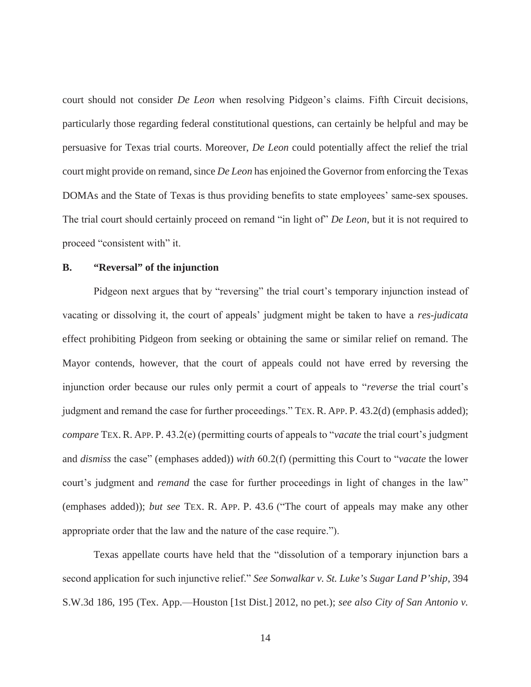court should not consider *De Leon* when resolving Pidgeon's claims. Fifth Circuit decisions, particularly those regarding federal constitutional questions, can certainly be helpful and may be persuasive for Texas trial courts. Moreover, *De Leon* could potentially affect the relief the trial court might provide on remand, since *De Leon* has enjoined the Governor from enforcing the Texas DOMAs and the State of Texas is thus providing benefits to state employees' same-sex spouses. The trial court should certainly proceed on remand "in light of" *De Leon*, but it is not required to proceed "consistent with" it.

## **B. "Reversal" of the injunction**

Pidgeon next argues that by "reversing" the trial court's temporary injunction instead of vacating or dissolving it, the court of appeals' judgment might be taken to have a *res-judicata* effect prohibiting Pidgeon from seeking or obtaining the same or similar relief on remand. The Mayor contends, however, that the court of appeals could not have erred by reversing the injunction order because our rules only permit a court of appeals to "*reverse* the trial court's judgment and remand the case for further proceedings." TEX. R. APP. P. 43.2(d) (emphasis added); *compare* TEX. R. APP. P. 43.2(e) (permitting courts of appeals to "*vacate* the trial court's judgment and *dismiss* the case" (emphases added)) *with* 60.2(f) (permitting this Court to "*vacate* the lower court's judgment and *remand* the case for further proceedings in light of changes in the law" (emphases added)); *but see* TEX. R. APP. P. 43.6 ("The court of appeals may make any other appropriate order that the law and the nature of the case require.").

Texas appellate courts have held that the "dissolution of a temporary injunction bars a second application for such injunctive relief." *See Sonwalkar v. St. Luke's Sugar Land P'ship*, 394 S.W.3d 186, 195 (Tex. App.—Houston [1st Dist.] 2012, no pet.); *see also City of San Antonio v.*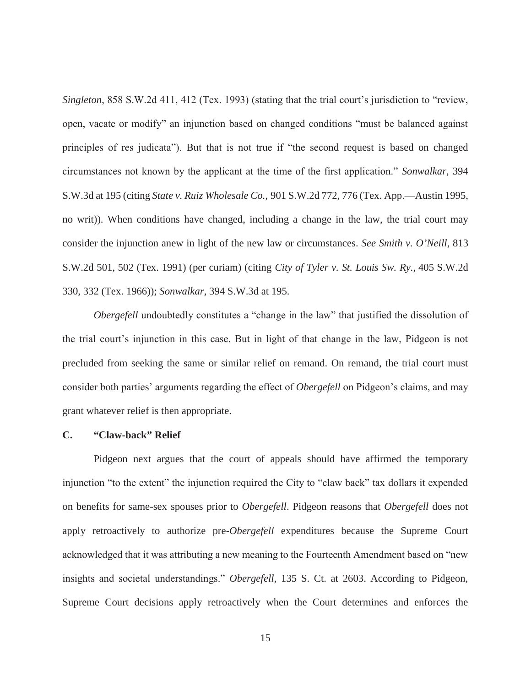*Singleton*, 858 S.W.2d 411, 412 (Tex. 1993) (stating that the trial court's jurisdiction to "review, open, vacate or modify" an injunction based on changed conditions "must be balanced against principles of res judicata"). But that is not true if "the second request is based on changed circumstances not known by the applicant at the time of the first application." *Sonwalkar*, 394 S.W.3d at 195 (citing *State v. Ruiz Wholesale Co.*, 901 S.W.2d 772, 776 (Tex. App.—Austin 1995, no writ)). When conditions have changed, including a change in the law, the trial court may consider the injunction anew in light of the new law or circumstances. *See Smith v. O'Neill*, 813 S.W.2d 501, 502 (Tex. 1991) (per curiam) (citing *City of Tyler v. St. Louis Sw. Ry.*, 405 S.W.2d 330, 332 (Tex. 1966)); *Sonwalkar*, 394 S.W.3d at 195.

*Obergefell* undoubtedly constitutes a "change in the law" that justified the dissolution of the trial court's injunction in this case. But in light of that change in the law, Pidgeon is not precluded from seeking the same or similar relief on remand. On remand, the trial court must consider both parties' arguments regarding the effect of *Obergefell* on Pidgeon's claims, and may grant whatever relief is then appropriate.

## **C. "Claw-back" Relief**

Pidgeon next argues that the court of appeals should have affirmed the temporary injunction "to the extent" the injunction required the City to "claw back" tax dollars it expended on benefits for same-sex spouses prior to *Obergefell*. Pidgeon reasons that *Obergefell* does not apply retroactively to authorize pre-*Obergefell* expenditures because the Supreme Court acknowledged that it was attributing a new meaning to the Fourteenth Amendment based on "new insights and societal understandings." *Obergefell*, 135 S. Ct. at 2603. According to Pidgeon, Supreme Court decisions apply retroactively when the Court determines and enforces the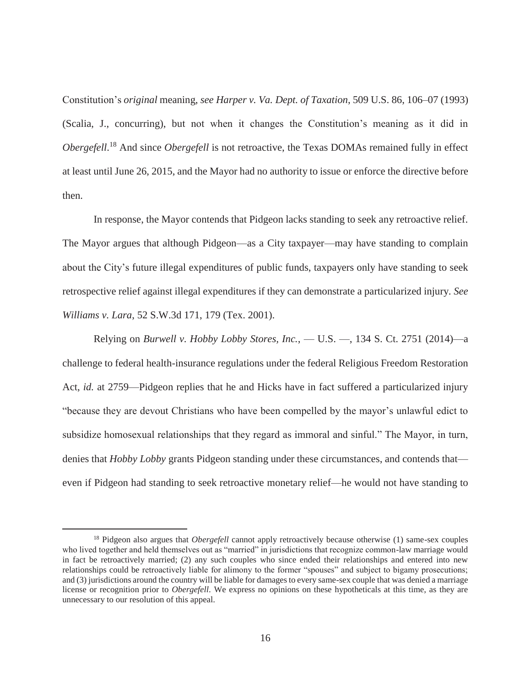Constitution's *original* meaning, *see Harper v. Va. Dept. of Taxation*, 509 U.S. 86, 106–07 (1993) (Scalia, J., concurring), but not when it changes the Constitution's meaning as it did in *Obergefell*. 18 And since *Obergefell* is not retroactive, the Texas DOMAs remained fully in effect at least until June 26, 2015, and the Mayor had no authority to issue or enforce the directive before then.

In response, the Mayor contends that Pidgeon lacks standing to seek any retroactive relief. The Mayor argues that although Pidgeon—as a City taxpayer—may have standing to complain about the City's future illegal expenditures of public funds, taxpayers only have standing to seek retrospective relief against illegal expenditures if they can demonstrate a particularized injury. *See Williams v. Lara*, 52 S.W.3d 171, 179 (Tex. 2001).

Relying on *Burwell v. Hobby Lobby Stores, Inc.*, — U.S. —, 134 S. Ct. 2751 (2014)—a challenge to federal health-insurance regulations under the federal Religious Freedom Restoration Act, *id.* at 2759—Pidgeon replies that he and Hicks have in fact suffered a particularized injury "because they are devout Christians who have been compelled by the mayor's unlawful edict to subsidize homosexual relationships that they regard as immoral and sinful." The Mayor, in turn, denies that *Hobby Lobby* grants Pidgeon standing under these circumstances, and contends that even if Pidgeon had standing to seek retroactive monetary relief—he would not have standing to

<sup>&</sup>lt;sup>18</sup> Pidgeon also argues that *Obergefell* cannot apply retroactively because otherwise (1) same-sex couples who lived together and held themselves out as "married" in jurisdictions that recognize common-law marriage would in fact be retroactively married; (2) any such couples who since ended their relationships and entered into new relationships could be retroactively liable for alimony to the former "spouses" and subject to bigamy prosecutions; and (3) jurisdictions around the country will be liable for damages to every same-sex couple that was denied a marriage license or recognition prior to *Obergefell*. We express no opinions on these hypotheticals at this time, as they are unnecessary to our resolution of this appeal.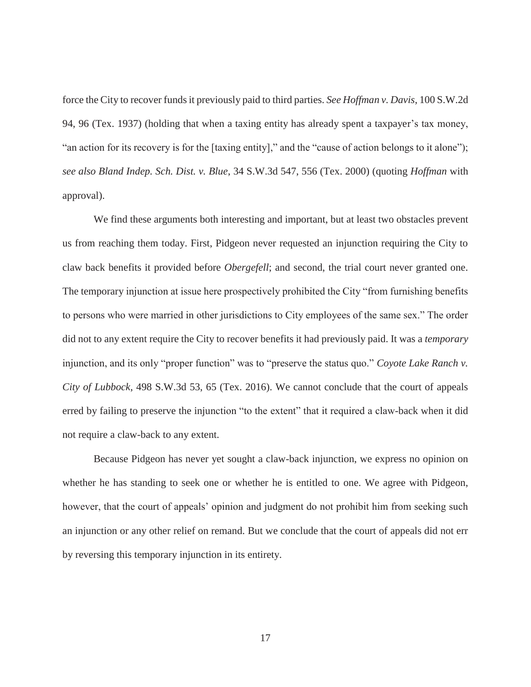force the City to recover funds it previously paid to third parties. *See Hoffman v. Davis*, 100 S.W.2d 94, 96 (Tex. 1937) (holding that when a taxing entity has already spent a taxpayer's tax money, "an action for its recovery is for the [taxing entity]," and the "cause of action belongs to it alone"); *see also Bland Indep. Sch. Dist. v. Blue*, 34 S.W.3d 547, 556 (Tex. 2000) (quoting *Hoffman* with approval).

We find these arguments both interesting and important, but at least two obstacles prevent us from reaching them today. First, Pidgeon never requested an injunction requiring the City to claw back benefits it provided before *Obergefell*; and second, the trial court never granted one. The temporary injunction at issue here prospectively prohibited the City "from furnishing benefits to persons who were married in other jurisdictions to City employees of the same sex." The order did not to any extent require the City to recover benefits it had previously paid. It was a *temporary* injunction, and its only "proper function" was to "preserve the status quo." *Coyote Lake Ranch v. City of Lubbock*, 498 S.W.3d 53, 65 (Tex. 2016). We cannot conclude that the court of appeals erred by failing to preserve the injunction "to the extent" that it required a claw-back when it did not require a claw-back to any extent.

 Because Pidgeon has never yet sought a claw-back injunction, we express no opinion on whether he has standing to seek one or whether he is entitled to one. We agree with Pidgeon, however, that the court of appeals' opinion and judgment do not prohibit him from seeking such an injunction or any other relief on remand. But we conclude that the court of appeals did not err by reversing this temporary injunction in its entirety.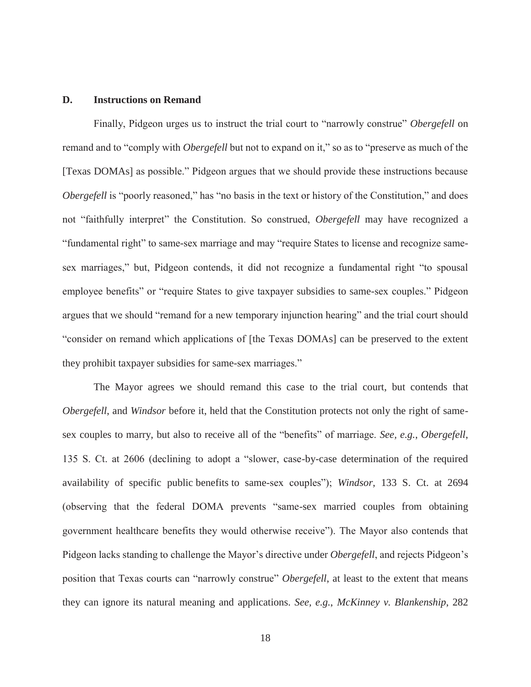## **D. Instructions on Remand**

Finally, Pidgeon urges us to instruct the trial court to "narrowly construe" *Obergefell* on remand and to "comply with *Obergefell* but not to expand on it," so as to "preserve as much of the [Texas DOMAs] as possible." Pidgeon argues that we should provide these instructions because *Obergefell* is "poorly reasoned," has "no basis in the text or history of the Constitution," and does not "faithfully interpret" the Constitution. So construed, *Obergefell* may have recognized a "fundamental right" to same-sex marriage and may "require States to license and recognize samesex marriages," but, Pidgeon contends, it did not recognize a fundamental right "to spousal employee benefits" or "require States to give taxpayer subsidies to same-sex couples." Pidgeon argues that we should "remand for a new temporary injunction hearing" and the trial court should "consider on remand which applications of [the Texas DOMAs] can be preserved to the extent they prohibit taxpayer subsidies for same-sex marriages."

The Mayor agrees we should remand this case to the trial court, but contends that *Obergefell*, and *Windsor* before it, held that the Constitution protects not only the right of samesex couples to marry, but also to receive all of the "benefits" of marriage. *See, e.g.*, *Obergefell*, 135 S. Ct. at 2606 (declining to adopt a "slower, case-by-case determination of the required availability of specific public benefits to same-sex couples"); *Windsor*, 133 S. Ct. at 2694 (observing that the federal DOMA prevents "same-sex married couples from obtaining government healthcare benefits they would otherwise receive"). The Mayor also contends that Pidgeon lacks standing to challenge the Mayor's directive under *Obergefell*, and rejects Pidgeon's position that Texas courts can "narrowly construe" *Obergefell*, at least to the extent that means they can ignore its natural meaning and applications. *See, e.g.*, *McKinney v. Blankenship*, 282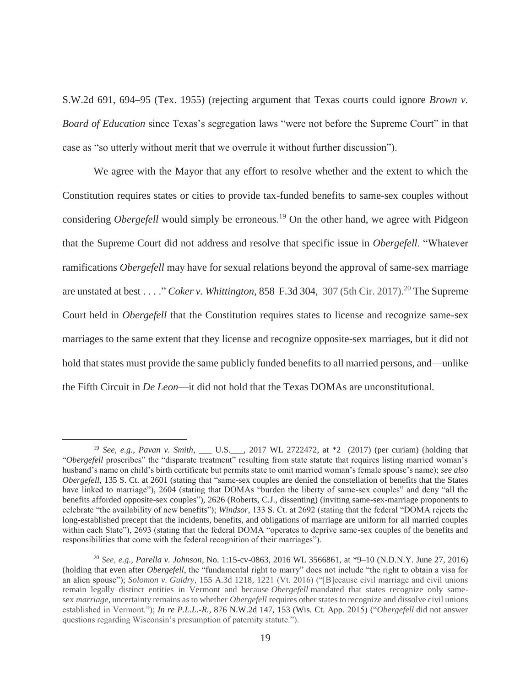S.W.2d 691, 694–95 (Tex. 1955) (rejecting argument that Texas courts could ignore *Brown v. Board of Education* since Texas's segregation laws "were not before the Supreme Court" in that case as "so utterly without merit that we overrule it without further discussion").

We agree with the Mayor that any effort to resolve whether and the extent to which the Constitution requires states or cities to provide tax-funded benefits to same-sex couples without considering *Obergefell* would simply be erroneous.<sup>19</sup> On the other hand, we agree with Pidgeon that the Supreme Court did not address and resolve that specific issue in *Obergefell*. "Whatever ramifications *Obergefell* may have for sexual relations beyond the approval of same-sex marriage are unstated at best . . . . " *Coker v. Whittington*, 858 F.3d 304, 307 (5th Cir. 2017).<sup>20</sup> The Supreme Court held in *Obergefell* that the Constitution requires states to license and recognize same-sex marriages to the same extent that they license and recognize opposite-sex marriages, but it did not hold that states must provide the same publicly funded benefits to all married persons, and—unlike the Fifth Circuit in *De Leon*—it did not hold that the Texas DOMAs are unconstitutional.

<sup>19</sup> *See, e.g.*, *Pavan v. Smith*, \_\_\_ U.S.\_\_\_, 2017 WL 2722472, at \*2 (2017) (per curiam) (holding that "*Obergefell* proscribes" the "disparate treatment" resulting from state statute that requires listing married woman's husband's name on child's birth certificate but permits state to omit married woman's female spouse's name); *see also Obergefell*, 135 S. Ct. at 2601 (stating that "same-sex couples are denied the constellation of benefits that the States have linked to marriage"), 2604 (stating that DOMAs "burden the liberty of same-sex couples" and deny "all the benefits afforded opposite-sex couples"), 2626 (Roberts, C.J., dissenting) (inviting same-sex-marriage proponents to celebrate "the availability of new benefits"); *Windsor*, 133 S. Ct. at 2692 (stating that the federal "DOMA rejects the long-established precept that the incidents, benefits, and obligations of marriage are uniform for all married couples within each State"), 2693 (stating that the federal DOMA "operates to deprive same-sex couples of the benefits and responsibilities that come with the federal recognition of their marriages").

<sup>20</sup> *See, e.g.*, *Parella v. Johnson*, No. 1:15-cv-0863, 2016 WL 3566861, at \*9–10 (N.D.N.Y. June 27, 2016) (holding that even after *Obergefell*, the "fundamental right to marry" does not include "the right to obtain a visa for an alien spouse"); *Solomon v. Guidry*, 155 A.3d 1218, 1221 (Vt. 2016) ("[B]ecause civil marriage and civil unions remain legally distinct entities in Vermont and because *Obergefell* mandated that states recognize only samesex *marriage*, uncertainty remains as to whether *Obergefell* requires other states to recognize and dissolve civil unions established in Vermont."); *In re P.L.L.-R.*, 876 N.W.2d 147, 153 (Wis. Ct. App. 2015) ("*Obergefell* did not answer questions regarding Wisconsin's presumption of paternity statute.").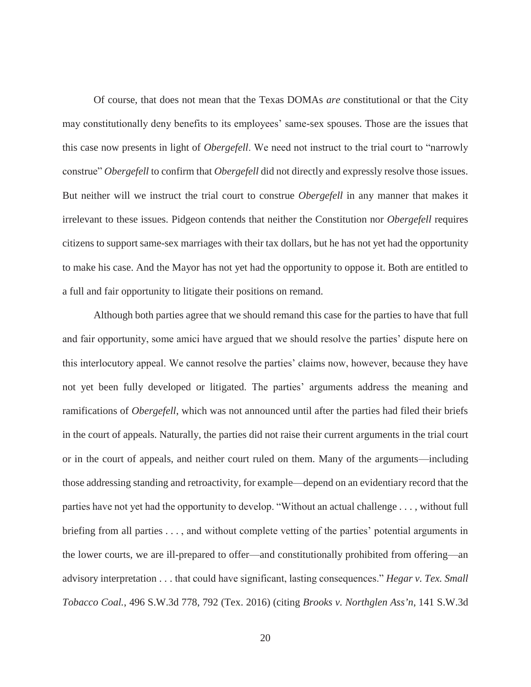Of course, that does not mean that the Texas DOMAs *are* constitutional or that the City may constitutionally deny benefits to its employees' same-sex spouses. Those are the issues that this case now presents in light of *Obergefell*. We need not instruct to the trial court to "narrowly construe" *Obergefell* to confirm that *Obergefell* did not directly and expressly resolve those issues. But neither will we instruct the trial court to construe *Obergefell* in any manner that makes it irrelevant to these issues. Pidgeon contends that neither the Constitution nor *Obergefell* requires citizens to support same-sex marriages with their tax dollars, but he has not yet had the opportunity to make his case. And the Mayor has not yet had the opportunity to oppose it. Both are entitled to a full and fair opportunity to litigate their positions on remand.

Although both parties agree that we should remand this case for the parties to have that full and fair opportunity, some amici have argued that we should resolve the parties' dispute here on this interlocutory appeal. We cannot resolve the parties' claims now, however, because they have not yet been fully developed or litigated. The parties' arguments address the meaning and ramifications of *Obergefell*, which was not announced until after the parties had filed their briefs in the court of appeals. Naturally, the parties did not raise their current arguments in the trial court or in the court of appeals, and neither court ruled on them. Many of the arguments—including those addressing standing and retroactivity, for example—depend on an evidentiary record that the parties have not yet had the opportunity to develop. "Without an actual challenge . . . , without full briefing from all parties . . . , and without complete vetting of the parties' potential arguments in the lower courts, we are ill-prepared to offer—and constitutionally prohibited from offering—an advisory interpretation . . . that could have significant, lasting consequences." *Hegar v. Tex. Small Tobacco Coal.*, 496 S.W.3d 778, 792 (Tex. 2016) (citing *Brooks v. Northglen Ass'n*, 141 S.W.3d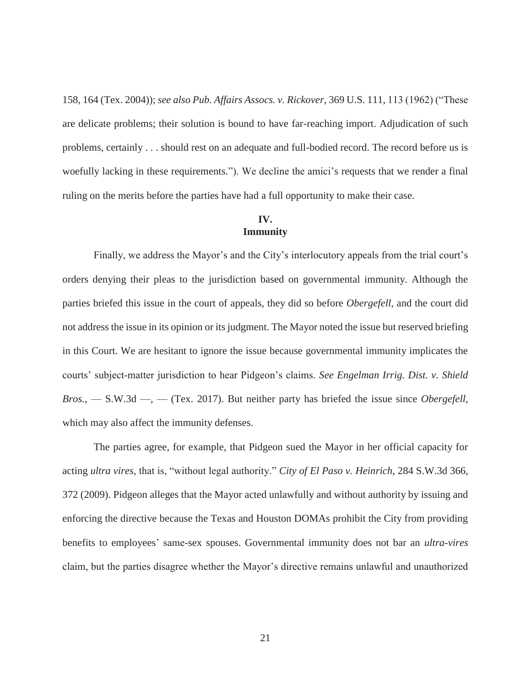158, 164 (Tex. 2004)); *see also Pub. Affairs Assocs. v. Rickover*, 369 U.S. 111, 113 (1962) ("These are delicate problems; their solution is bound to have far-reaching import. Adjudication of such problems, certainly . . . should rest on an adequate and full-bodied record. The record before us is woefully lacking in these requirements."). We decline the amici's requests that we render a final ruling on the merits before the parties have had a full opportunity to make their case.

## **IV. Immunity**

Finally, we address the Mayor's and the City's interlocutory appeals from the trial court's orders denying their pleas to the jurisdiction based on governmental immunity. Although the parties briefed this issue in the court of appeals, they did so before *Obergefell*, and the court did not address the issue in its opinion or its judgment. The Mayor noted the issue but reserved briefing in this Court. We are hesitant to ignore the issue because governmental immunity implicates the courts' subject-matter jurisdiction to hear Pidgeon's claims. *See Engelman Irrig. Dist. v. Shield Bros.*, — S.W.3d —, — (Tex. 2017). But neither party has briefed the issue since *Obergefell*, which may also affect the immunity defenses.

The parties agree, for example, that Pidgeon sued the Mayor in her official capacity for acting *ultra vires*, that is, "without legal authority." *City of El Paso v. Heinrich*, 284 S.W.3d 366, 372 (2009). Pidgeon alleges that the Mayor acted unlawfully and without authority by issuing and enforcing the directive because the Texas and Houston DOMAs prohibit the City from providing benefits to employees' same-sex spouses. Governmental immunity does not bar an *ultra-vires* claim, but the parties disagree whether the Mayor's directive remains unlawful and unauthorized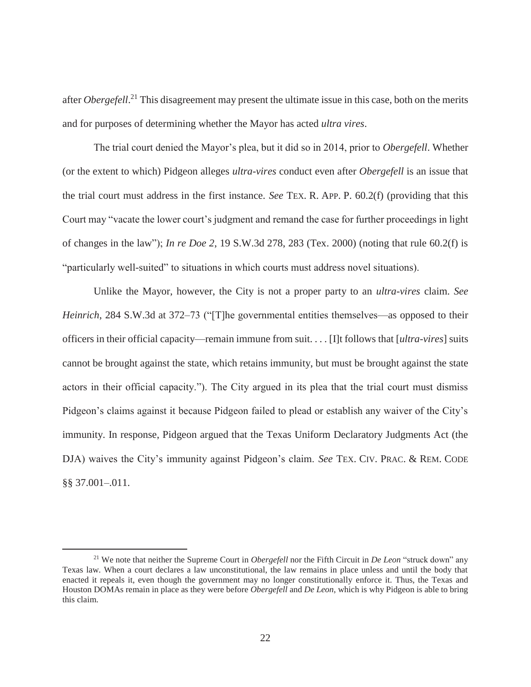after *Obergefell*. 21 This disagreement may present the ultimate issue in this case, both on the merits and for purposes of determining whether the Mayor has acted *ultra vires*.

The trial court denied the Mayor's plea, but it did so in 2014, prior to *Obergefell*. Whether (or the extent to which) Pidgeon alleges *ultra-vires* conduct even after *Obergefell* is an issue that the trial court must address in the first instance. *See* TEX. R. APP. P. 60.2(f) (providing that this Court may "vacate the lower court's judgment and remand the case for further proceedings in light of changes in the law"); *In re Doe 2*, 19 S.W.3d 278, 283 (Tex. 2000) (noting that rule 60.2(f) is "particularly well-suited" to situations in which courts must address novel situations).

Unlike the Mayor, however, the City is not a proper party to an *ultra-vires* claim. *See Heinrich*, 284 S.W.3d at 372–73 ("[T]he governmental entities themselves—as opposed to their officers in their official capacity—remain immune from suit. . . . [I]t follows that [*ultra-vires*] suits cannot be brought against the state, which retains immunity, but must be brought against the state actors in their official capacity."). The City argued in its plea that the trial court must dismiss Pidgeon's claims against it because Pidgeon failed to plead or establish any waiver of the City's immunity. In response, Pidgeon argued that the Texas Uniform Declaratory Judgments Act (the DJA) waives the City's immunity against Pidgeon's claim. *See* TEX. CIV. PRAC. & REM. CODE §§ 37.001–.011.

<sup>21</sup> We note that neither the Supreme Court in *Obergefell* nor the Fifth Circuit in *De Leon* "struck down" any Texas law. When a court declares a law unconstitutional, the law remains in place unless and until the body that enacted it repeals it, even though the government may no longer constitutionally enforce it. Thus, the Texas and Houston DOMAs remain in place as they were before *Obergefell* and *De Leon*, which is why Pidgeon is able to bring this claim.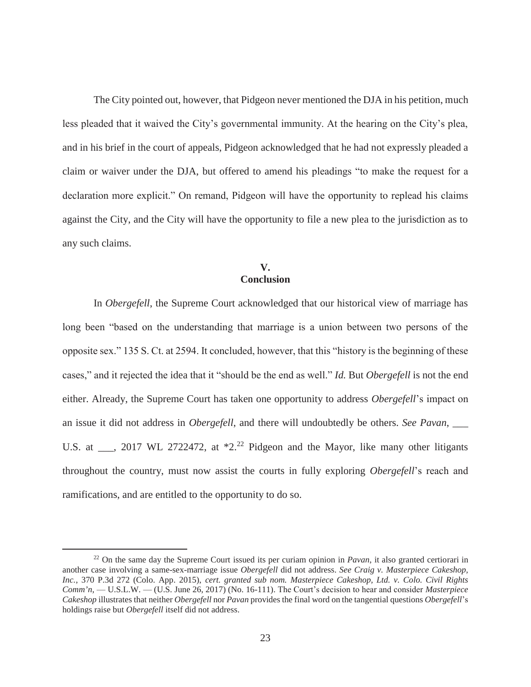The City pointed out, however, that Pidgeon never mentioned the DJA in his petition, much less pleaded that it waived the City's governmental immunity. At the hearing on the City's plea, and in his brief in the court of appeals, Pidgeon acknowledged that he had not expressly pleaded a claim or waiver under the DJA, but offered to amend his pleadings "to make the request for a declaration more explicit." On remand, Pidgeon will have the opportunity to replead his claims against the City, and the City will have the opportunity to file a new plea to the jurisdiction as to any such claims.

# **V. Conclusion**

In *Obergefell*, the Supreme Court acknowledged that our historical view of marriage has long been "based on the understanding that marriage is a union between two persons of the opposite sex." 135 S. Ct. at 2594. It concluded, however, that this "history is the beginning of these cases," and it rejected the idea that it "should be the end as well." *Id.* But *Obergefell* is not the end either. Already, the Supreme Court has taken one opportunity to address *Obergefell*'s impact on an issue it did not address in *Obergefell*, and there will undoubtedly be others. *See Pavan*, \_\_\_ U.S. at \_\_\_, 2017 WL 2722472, at \*2.<sup>22</sup> Pidgeon and the Mayor, like many other litigants throughout the country, must now assist the courts in fully exploring *Obergefell*'s reach and ramifications, and are entitled to the opportunity to do so.

<sup>22</sup> On the same day the Supreme Court issued its per curiam opinion in *Pavan*, it also granted certiorari in another case involving a same-sex-marriage issue *Obergefell* did not address. *See Craig v. Masterpiece Cakeshop, Inc.*, 370 P.3d 272 (Colo. App. 2015), *cert. granted sub nom. Masterpiece Cakeshop, Ltd. v. Colo. Civil Rights Comm'n*, — U.S.L.W. — (U.S. June 26, 2017) (No. 16-111). The Court's decision to hear and consider *Masterpiece Cakeshop* illustrates that neither *Obergefell* nor *Pavan* provides the final word on the tangential questions *Obergefell*'s holdings raise but *Obergefell* itself did not address.